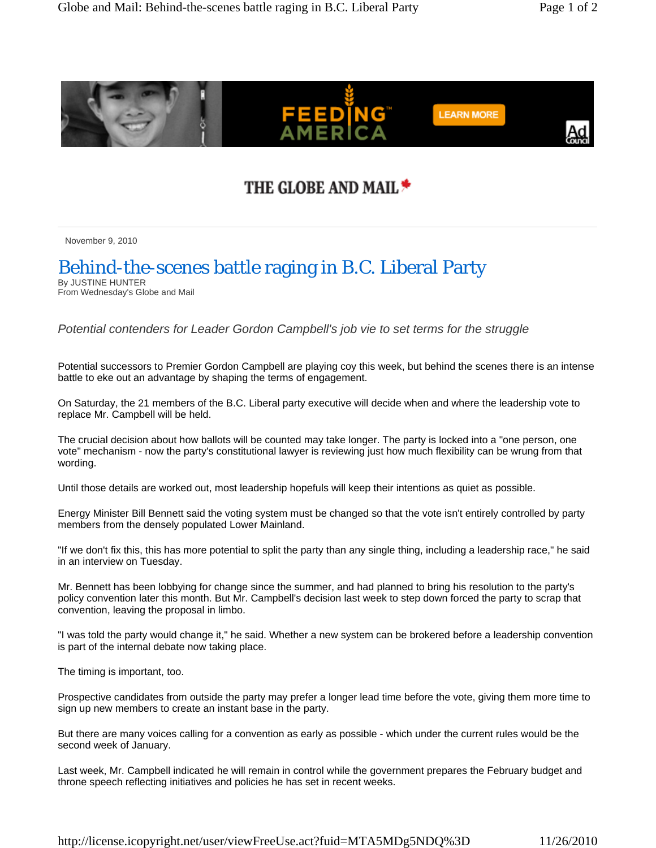

## THE GLOBE AND MAIL \*

November 9, 2010

## Behind-the-scenes battle raging in B.C. Liberal Party

By JUSTINE HUNTER From Wednesday's Globe and Mail

*Potential contenders for Leader Gordon Campbell's job vie to set terms for the struggle* 

Potential successors to Premier Gordon Campbell are playing coy this week, but behind the scenes there is an intense battle to eke out an advantage by shaping the terms of engagement.

On Saturday, the 21 members of the B.C. Liberal party executive will decide when and where the leadership vote to replace Mr. Campbell will be held.

The crucial decision about how ballots will be counted may take longer. The party is locked into a "one person, one vote" mechanism - now the party's constitutional lawyer is reviewing just how much flexibility can be wrung from that wording.

Until those details are worked out, most leadership hopefuls will keep their intentions as quiet as possible.

Energy Minister Bill Bennett said the voting system must be changed so that the vote isn't entirely controlled by party members from the densely populated Lower Mainland.

"If we don't fix this, this has more potential to split the party than any single thing, including a leadership race," he said in an interview on Tuesday.

Mr. Bennett has been lobbying for change since the summer, and had planned to bring his resolution to the party's policy convention later this month. But Mr. Campbell's decision last week to step down forced the party to scrap that convention, leaving the proposal in limbo.

"I was told the party would change it," he said. Whether a new system can be brokered before a leadership convention is part of the internal debate now taking place.

The timing is important, too.

Prospective candidates from outside the party may prefer a longer lead time before the vote, giving them more time to sign up new members to create an instant base in the party.

But there are many voices calling for a convention as early as possible - which under the current rules would be the second week of January.

Last week, Mr. Campbell indicated he will remain in control while the government prepares the February budget and throne speech reflecting initiatives and policies he has set in recent weeks.

http://license.icopyright.net/user/viewFreeUse.act?fuid=MTA5MDg5NDQ%3D 11/26/2010